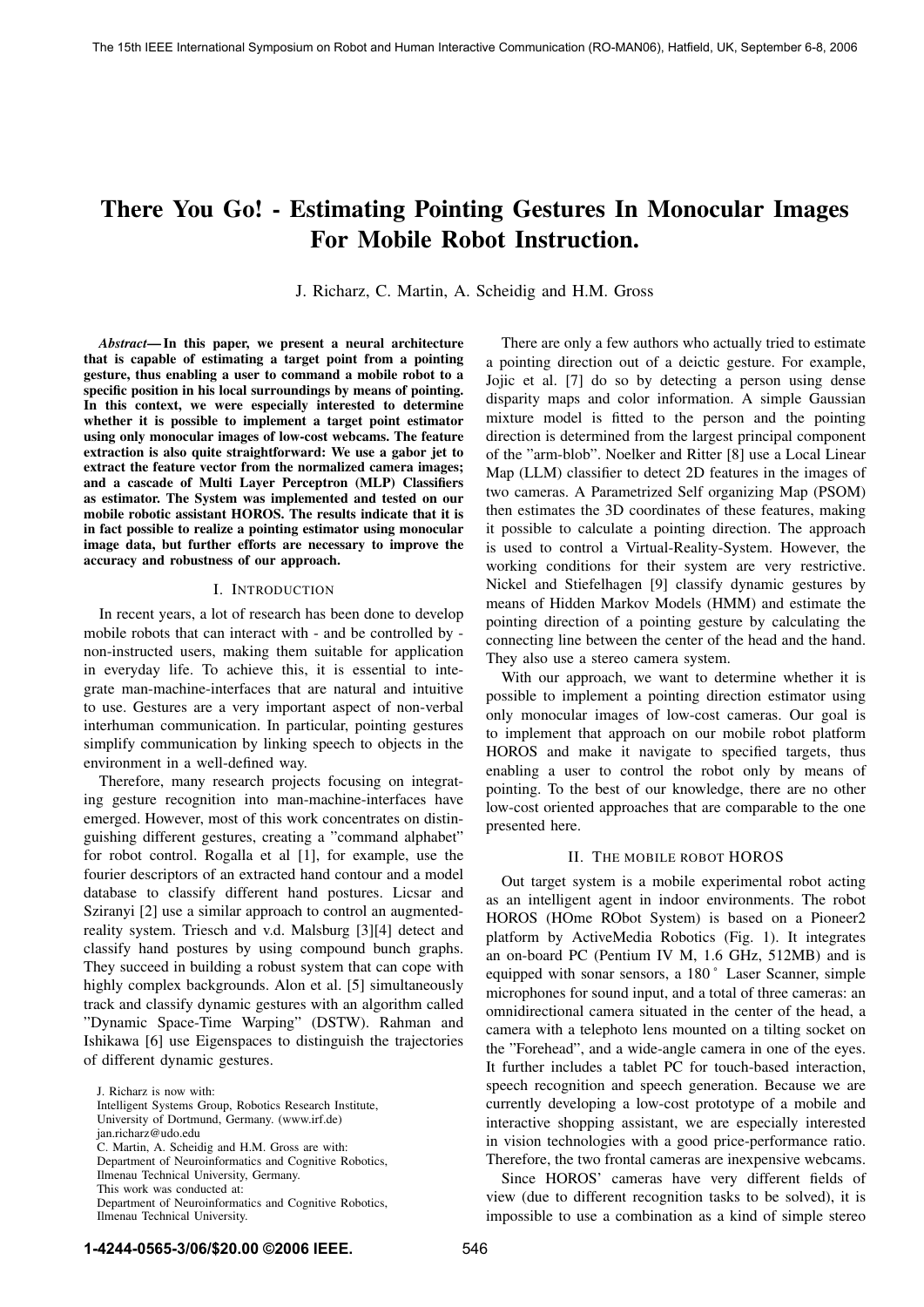# **There You Go! - Estimating Pointing Gestures In Monocular Images For Mobile Robot Instruction.**

J. Richarz, C. Martin, A. Scheidig and H.M. Gross

*Abstract***— In this paper, we present a neural architecture that is capable of estimating a target point from a pointing gesture, thus enabling a user to command a mobile robot to a specific position in his local surroundings by means of pointing. In this context, we were especially interested to determine whether it is possible to implement a target point estimator using only monocular images of low-cost webcams. The feature extraction is also quite straightforward: We use a gabor jet to extract the feature vector from the normalized camera images; and a cascade of Multi Layer Perceptron (MLP) Classifiers as estimator. The System was implemented and tested on our mobile robotic assistant HOROS. The results indicate that it is in fact possible to realize a pointing estimator using monocular image data, but further efforts are necessary to improve the accuracy and robustness of our approach.**

#### I. INTRODUCTION

In recent years, a lot of research has been done to develop mobile robots that can interact with - and be controlled by non-instructed users, making them suitable for application in everyday life. To achieve this, it is essential to integrate man-machine-interfaces that are natural and intuitive to use. Gestures are a very important aspect of non-verbal interhuman communication. In particular, pointing gestures simplify communication by linking speech to objects in the environment in a well-defined way.

Therefore, many research projects focusing on integrating gesture recognition into man-machine-interfaces have emerged. However, most of this work concentrates on distinguishing different gestures, creating a "command alphabet" for robot control. Rogalla et al [1], for example, use the fourier descriptors of an extracted hand contour and a model database to classify different hand postures. Licsar and Sziranyi [2] use a similar approach to control an augmentedreality system. Triesch and v.d. Malsburg [3][4] detect and classify hand postures by using compound bunch graphs. They succeed in building a robust system that can cope with highly complex backgrounds. Alon et al. [5] simultaneously track and classify dynamic gestures with an algorithm called "Dynamic Space-Time Warping" (DSTW). Rahman and Ishikawa [6] use Eigenspaces to distinguish the trajectories of different dynamic gestures.

There are only a few authors who actually tried to estimate a pointing direction out of a deictic gesture. For example, Jojic et al. [7] do so by detecting a person using dense disparity maps and color information. A simple Gaussian mixture model is fitted to the person and the pointing direction is determined from the largest principal component of the "arm-blob". Noelker and Ritter [8] use a Local Linear Map (LLM) classifier to detect 2D features in the images of two cameras. A Parametrized Self organizing Map (PSOM) then estimates the 3D coordinates of these features, making it possible to calculate a pointing direction. The approach is used to control a Virtual-Reality-System. However, the working conditions for their system are very restrictive. Nickel and Stiefelhagen [9] classify dynamic gestures by means of Hidden Markov Models (HMM) and estimate the pointing direction of a pointing gesture by calculating the connecting line between the center of the head and the hand. They also use a stereo camera system.

With our approach, we want to determine whether it is possible to implement a pointing direction estimator using only monocular images of low-cost cameras. Our goal is to implement that approach on our mobile robot platform HOROS and make it navigate to specified targets, thus enabling a user to control the robot only by means of pointing. To the best of our knowledge, there are no other low-cost oriented approaches that are comparable to the one presented here.

## II. THE MOBILE ROBOT HOROS

Out target system is a mobile experimental robot acting as an intelligent agent in indoor environments. The robot HOROS (HOme RObot System) is based on a Pioneer2 platform by ActiveMedia Robotics (Fig. 1). It integrates an on-board PC (Pentium IV M, 1.6 GHz, 512MB) and is equipped with sonar sensors, a 180 ˚ Laser Scanner, simple microphones for sound input, and a total of three cameras: an omnidirectional camera situated in the center of the head, a camera with a telephoto lens mounted on a tilting socket on the "Forehead", and a wide-angle camera in one of the eyes. It further includes a tablet PC for touch-based interaction, speech recognition and speech generation. Because we are currently developing a low-cost prototype of a mobile and interactive shopping assistant, we are especially interested in vision technologies with a good price-performance ratio. Therefore, the two frontal cameras are inexpensive webcams.

Since HOROS' cameras have very different fields of view (due to different recognition tasks to be solved), it is impossible to use a combination as a kind of simple stereo

J. Richarz is now with:

Intelligent Systems Group, Robotics Research Institute,

University of Dortmund, Germany. (www.irf.de)

jan.richarz@udo.edu

C. Martin, A. Scheidig and H.M. Gross are with:

Department of Neuroinformatics and Cognitive Robotics,

Ilmenau Technical University, Germany.

This work was conducted at:

Department of Neuroinformatics and Cognitive Robotics, Ilmenau Technical University.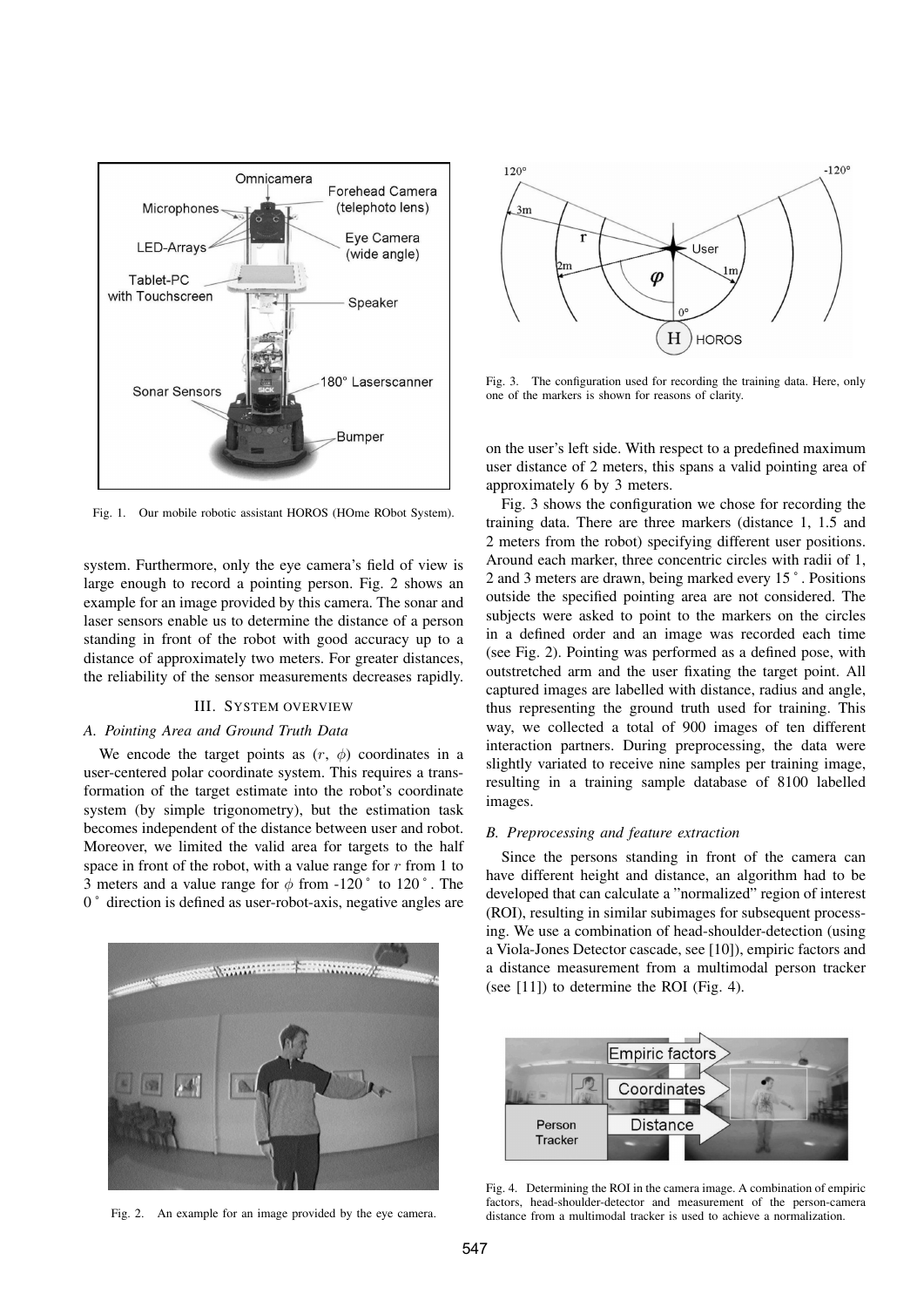

Fig. 1. Our mobile robotic assistant HOROS (HOme RObot System).

system. Furthermore, only the eye camera's field of view is large enough to record a pointing person. Fig. 2 shows an example for an image provided by this camera. The sonar and laser sensors enable us to determine the distance of a person standing in front of the robot with good accuracy up to a distance of approximately two meters. For greater distances, the reliability of the sensor measurements decreases rapidly.

# III. SYSTEM OVERVIEW

## *A. Pointing Area and Ground Truth Data*

We encode the target points as  $(r, \phi)$  coordinates in a user-centered polar coordinate system. This requires a transformation of the target estimate into the robot's coordinate system (by simple trigonometry), but the estimation task becomes independent of the distance between user and robot. Moreover, we limited the valid area for targets to the half space in front of the robot, with a value range for  $r$  from 1 to 3 meters and a value range for  $\phi$  from -120  $\degree$  to 120  $\degree$ . The 0 ˚ direction is defined as user-robot-axis, negative angles are



Fig. 2. An example for an image provided by the eye camera.



Fig. 3. The configuration used for recording the training data. Here, only one of the markers is shown for reasons of clarity.

on the user's left side. With respect to a predefined maximum user distance of 2 meters, this spans a valid pointing area of approximately 6 by 3 meters.

Fig. 3 shows the configuration we chose for recording the training data. There are three markers (distance 1, 1.5 and 2 meters from the robot) specifying different user positions. Around each marker, three concentric circles with radii of 1, 2 and 3 meters are drawn, being marked every 15 ˚ . Positions outside the specified pointing area are not considered. The subjects were asked to point to the markers on the circles in a defined order and an image was recorded each time (see Fig. 2). Pointing was performed as a defined pose, with outstretched arm and the user fixating the target point. All captured images are labelled with distance, radius and angle, thus representing the ground truth used for training. This way, we collected a total of 900 images of ten different interaction partners. During preprocessing, the data were slightly variated to receive nine samples per training image, resulting in a training sample database of 8100 labelled images.

#### *B. Preprocessing and feature extraction*

Since the persons standing in front of the camera can have different height and distance, an algorithm had to be developed that can calculate a "normalized" region of interest (ROI), resulting in similar subimages for subsequent processing. We use a combination of head-shoulder-detection (using a Viola-Jones Detector cascade, see [10]), empiric factors and a distance measurement from a multimodal person tracker (see [11]) to determine the ROI (Fig. 4).



Fig. 4. Determining the ROI in the camera image. A combination of empiric factors, head-shoulder-detector and measurement of the person-camera distance from a multimodal tracker is used to achieve a normalization.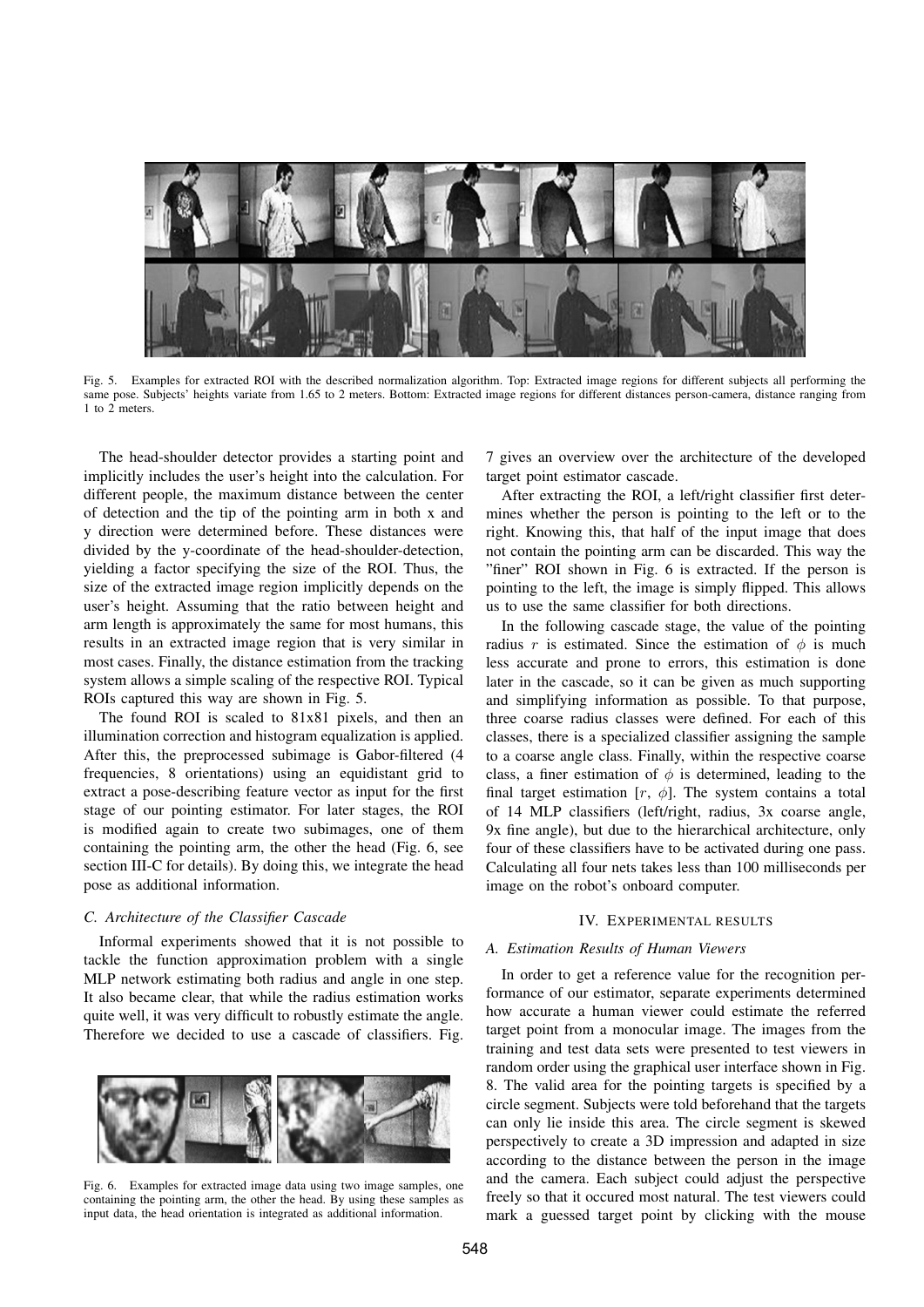

Fig. 5. Examples for extracted ROI with the described normalization algorithm. Top: Extracted image regions for different subjects all performing the same pose. Subjects' heights variate from 1.65 to 2 meters. Bottom: Extracted image regions for different distances person-camera, distance ranging from 1 to 2 meters.

The head-shoulder detector provides a starting point and implicitly includes the user's height into the calculation. For different people, the maximum distance between the center of detection and the tip of the pointing arm in both x and y direction were determined before. These distances were divided by the y-coordinate of the head-shoulder-detection, yielding a factor specifying the size of the ROI. Thus, the size of the extracted image region implicitly depends on the user's height. Assuming that the ratio between height and arm length is approximately the same for most humans, this results in an extracted image region that is very similar in most cases. Finally, the distance estimation from the tracking system allows a simple scaling of the respective ROI. Typical ROIs captured this way are shown in Fig. 5.

The found ROI is scaled to 81x81 pixels, and then an illumination correction and histogram equalization is applied. After this, the preprocessed subimage is Gabor-filtered (4 frequencies, 8 orientations) using an equidistant grid to extract a pose-describing feature vector as input for the first stage of our pointing estimator. For later stages, the ROI is modified again to create two subimages, one of them containing the pointing arm, the other the head (Fig. 6, see section III-C for details). By doing this, we integrate the head pose as additional information.

### *C. Architecture of the Classifier Cascade*

Informal experiments showed that it is not possible to tackle the function approximation problem with a single MLP network estimating both radius and angle in one step. It also became clear, that while the radius estimation works quite well, it was very difficult to robustly estimate the angle. Therefore we decided to use a cascade of classifiers. Fig.



Fig. 6. Examples for extracted image data using two image samples, one containing the pointing arm, the other the head. By using these samples as input data, the head orientation is integrated as additional information.

7 gives an overview over the architecture of the developed target point estimator cascade.

After extracting the ROI, a left/right classifier first determines whether the person is pointing to the left or to the right. Knowing this, that half of the input image that does not contain the pointing arm can be discarded. This way the "finer" ROI shown in Fig. 6 is extracted. If the person is pointing to the left, the image is simply flipped. This allows us to use the same classifier for both directions.

In the following cascade stage, the value of the pointing radius r is estimated. Since the estimation of  $\phi$  is much less accurate and prone to errors, this estimation is done later in the cascade, so it can be given as much supporting and simplifying information as possible. To that purpose, three coarse radius classes were defined. For each of this classes, there is a specialized classifier assigning the sample to a coarse angle class. Finally, within the respective coarse class, a finer estimation of  $\phi$  is determined, leading to the final target estimation  $[r, \phi]$ . The system contains a total of 14 MLP classifiers (left/right, radius, 3x coarse angle, 9x fine angle), but due to the hierarchical architecture, only four of these classifiers have to be activated during one pass. Calculating all four nets takes less than 100 milliseconds per image on the robot's onboard computer.

## IV. EXPERIMENTAL RESULTS

#### *A. Estimation Results of Human Viewers*

In order to get a reference value for the recognition performance of our estimator, separate experiments determined how accurate a human viewer could estimate the referred target point from a monocular image. The images from the training and test data sets were presented to test viewers in random order using the graphical user interface shown in Fig. 8. The valid area for the pointing targets is specified by a circle segment. Subjects were told beforehand that the targets can only lie inside this area. The circle segment is skewed perspectively to create a 3D impression and adapted in size according to the distance between the person in the image and the camera. Each subject could adjust the perspective freely so that it occured most natural. The test viewers could mark a guessed target point by clicking with the mouse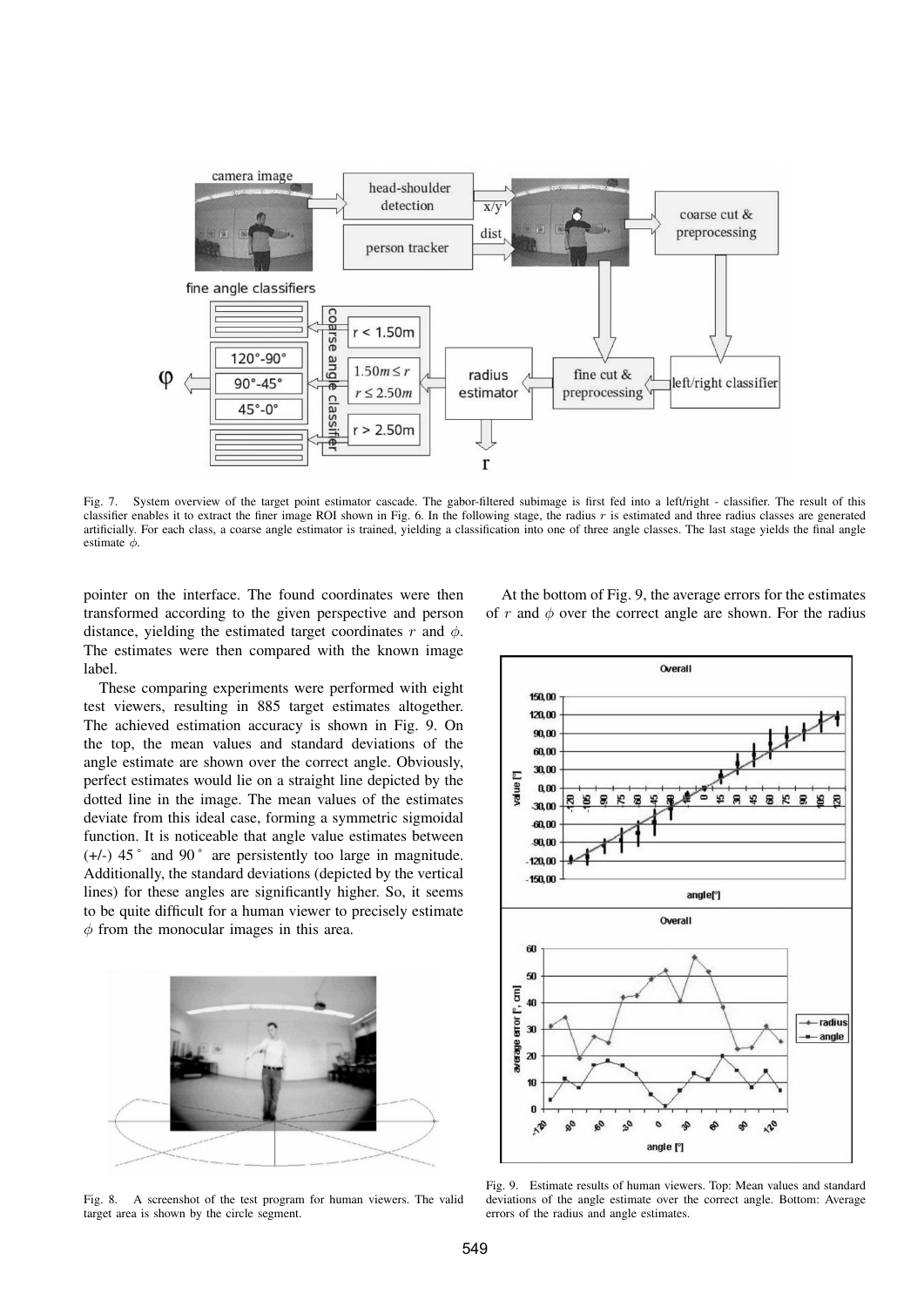

Fig. 7. System overview of the target point estimator cascade. The gabor-filtered subimage is first fed into a left/right - classifier. The result of this classifier enables it to extract the finer image ROI shown in Fig. 6. In the following stage, the radius  $r$  is estimated and three radius classes are generated artificially. For each class, a coarse angle estimator is trained, yielding a classification into one of three angle classes. The last stage yields the final angle estimate  $\phi$ .

pointer on the interface. The found coordinates were then transformed according to the given perspective and person distance, yielding the estimated target coordinates r and  $\phi$ . The estimates were then compared with the known image label.

These comparing experiments were performed with eight test viewers, resulting in 885 target estimates altogether. The achieved estimation accuracy is shown in Fig. 9. On the top, the mean values and standard deviations of the angle estimate are shown over the correct angle. Obviously, perfect estimates would lie on a straight line depicted by the dotted line in the image. The mean values of the estimates deviate from this ideal case, forming a symmetric sigmoidal function. It is noticeable that angle value estimates between (+/-) 45 ˚ and 90 ˚ are persistently too large in magnitude. Additionally, the standard deviations (depicted by the vertical lines) for these angles are significantly higher. So, it seems to be quite difficult for a human viewer to precisely estimate  $\phi$  from the monocular images in this area.



Fig. 8. A screenshot of the test program for human viewers. The valid target area is shown by the circle segment.

At the bottom of Fig. 9, the average errors for the estimates of r and  $\phi$  over the correct angle are shown. For the radius



Fig. 9. Estimate results of human viewers. Top: Mean values and standard deviations of the angle estimate over the correct angle. Bottom: Average errors of the radius and angle estimates.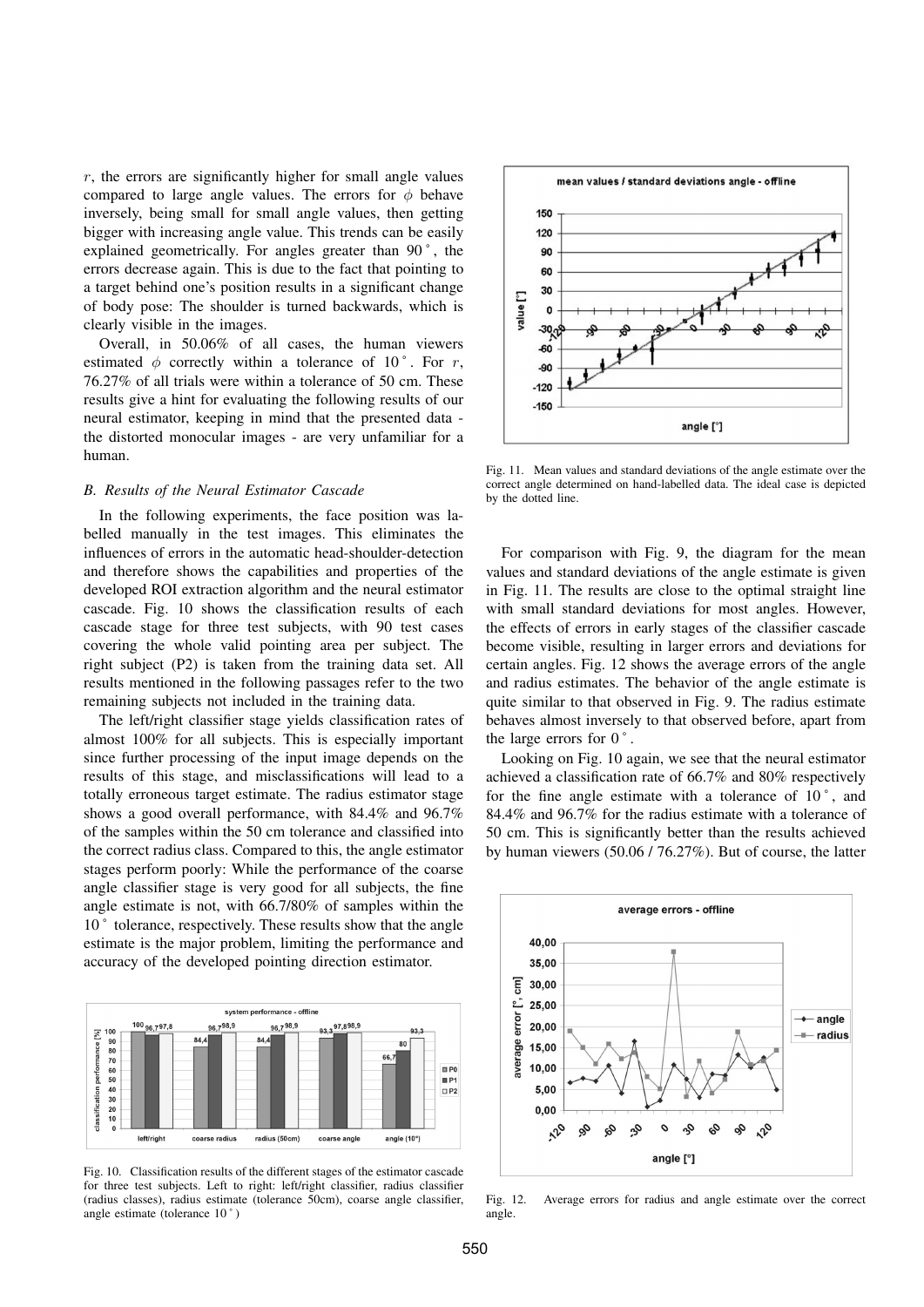$r$ , the errors are significantly higher for small angle values compared to large angle values. The errors for  $\phi$  behave inversely, being small for small angle values, then getting bigger with increasing angle value. This trends can be easily explained geometrically. For angles greater than 90 ˚ , the errors decrease again. This is due to the fact that pointing to a target behind one's position results in a significant change of body pose: The shoulder is turned backwards, which is clearly visible in the images.

Overall, in 50.06% of all cases, the human viewers estimated  $\phi$  correctly within a tolerance of 10°. For r, 76.27% of all trials were within a tolerance of 50 cm. These results give a hint for evaluating the following results of our neural estimator, keeping in mind that the presented data the distorted monocular images - are very unfamiliar for a human.

#### *B. Results of the Neural Estimator Cascade*

In the following experiments, the face position was labelled manually in the test images. This eliminates the influences of errors in the automatic head-shoulder-detection and therefore shows the capabilities and properties of the developed ROI extraction algorithm and the neural estimator cascade. Fig. 10 shows the classification results of each cascade stage for three test subjects, with 90 test cases covering the whole valid pointing area per subject. The right subject (P2) is taken from the training data set. All results mentioned in the following passages refer to the two remaining subjects not included in the training data.

The left/right classifier stage yields classification rates of almost 100% for all subjects. This is especially important since further processing of the input image depends on the results of this stage, and misclassifications will lead to a totally erroneous target estimate. The radius estimator stage shows a good overall performance, with 84.4% and 96.7% of the samples within the 50 cm tolerance and classified into the correct radius class. Compared to this, the angle estimator stages perform poorly: While the performance of the coarse angle classifier stage is very good for all subjects, the fine angle estimate is not, with 66.7/80% of samples within the 10<sup>°</sup> tolerance, respectively. These results show that the angle estimate is the major problem, limiting the performance and accuracy of the developed pointing direction estimator.



Fig. 10. Classification results of the different stages of the estimator cascade for three test subjects. Left to right: left/right classifier, radius classifier (radius classes), radius estimate (tolerance 50cm), coarse angle classifier, angle estimate (tolerance 10 ˚ )



Fig. 11. Mean values and standard deviations of the angle estimate over the correct angle determined on hand-labelled data. The ideal case is depicted by the dotted line.

For comparison with Fig. 9, the diagram for the mean values and standard deviations of the angle estimate is given in Fig. 11. The results are close to the optimal straight line with small standard deviations for most angles. However, the effects of errors in early stages of the classifier cascade become visible, resulting in larger errors and deviations for certain angles. Fig. 12 shows the average errors of the angle and radius estimates. The behavior of the angle estimate is quite similar to that observed in Fig. 9. The radius estimate behaves almost inversely to that observed before, apart from the large errors for  $0^\circ$ .

Looking on Fig. 10 again, we see that the neural estimator achieved a classification rate of 66.7% and 80% respectively for the fine angle estimate with a tolerance of  $10^{\circ}$ , and 84.4% and 96.7% for the radius estimate with a tolerance of 50 cm. This is significantly better than the results achieved by human viewers (50.06 / 76.27%). But of course, the latter



Fig. 12. Average errors for radius and angle estimate over the correct angle.